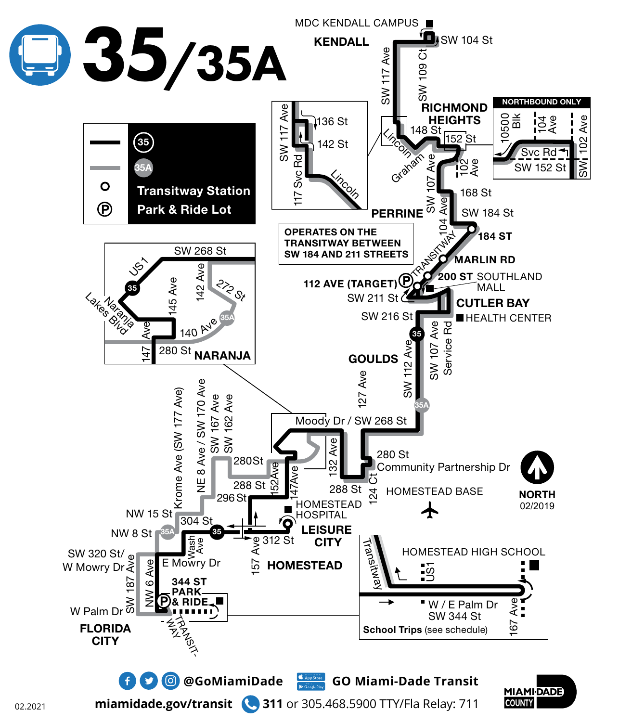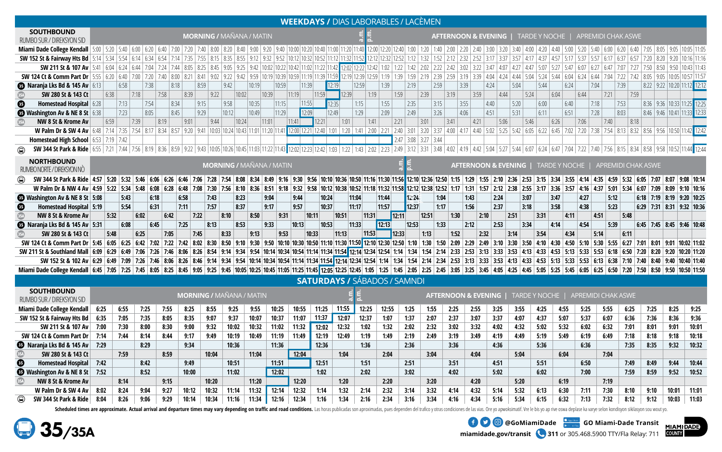|                                                                                                                                                                                                                                              |                                 |      |      |      |                           |       |                                 |       |       |       |       | <b>WEEKDAYS / DIAS LABORABLES / LACÈMEN</b>                                                                                                                                                                                                                                                                 |       |                                     |                                                                                |       |       |             |       |                      |      |      |                  |      |      |                     |      |                  |      |                  |                                    |              |      |      |       |                                                                                                                  |  |  |
|----------------------------------------------------------------------------------------------------------------------------------------------------------------------------------------------------------------------------------------------|---------------------------------|------|------|------|---------------------------|-------|---------------------------------|-------|-------|-------|-------|-------------------------------------------------------------------------------------------------------------------------------------------------------------------------------------------------------------------------------------------------------------------------------------------------------------|-------|-------------------------------------|--------------------------------------------------------------------------------|-------|-------|-------------|-------|----------------------|------|------|------------------|------|------|---------------------|------|------------------|------|------------------|------------------------------------|--------------|------|------|-------|------------------------------------------------------------------------------------------------------------------|--|--|
| <b>SOUTHBOUND</b><br>RUMBO SUR / DIREKSYON SID                                                                                                                                                                                               | <b>MORNING / MAÑANA / MATIN</b> |      |      |      |                           |       |                                 |       |       |       |       | TARDE Y NOCHE  <br>APREMIDI CHAK ASWE<br><b>AFTERNOON &amp; EVENING  </b><br>Miami Dade College Kendall 5:00 5:20 5:40 6:00 6:20 5:40 6:00 6:20 6:40 7:00 7:20 7:40 8:00 7:20 7:40 8:00 8:20 9:00 9:20 9:40 10:00 10:20 10:40 11:00 10:20 10:40 11:00 11:20 11:40 12:00 12:20 12:40 1:00 12:00 12:20 2:40 3 |       |                                     |                                                                                |       |       |             |       |                      |      |      |                  |      |      |                     |      |                  |      |                  |                                    |              |      |      |       |                                                                                                                  |  |  |
|                                                                                                                                                                                                                                              |                                 |      |      |      |                           |       |                                 |       |       |       |       |                                                                                                                                                                                                                                                                                                             |       |                                     |                                                                                |       |       |             |       |                      |      |      |                  |      |      |                     |      |                  |      |                  |                                    |              |      |      |       |                                                                                                                  |  |  |
| SW 152 St & Fairway Hts Bd 5:14 5:34 5:54 6:14 6:34 6:54 7:14 7:35 7:26 8:15 8:35 8:55 9:12 9:32 9:52 10:12 10:32 10:52 11:12 11:32 11:52 11:12 11:32 12:52 12:12 12:32 12:52 12:12 12:32 2:52 3:17 3:37 3:37 4:17 4:37 4:37 4               |                                 |      |      |      |                           |       |                                 |       |       |       |       |                                                                                                                                                                                                                                                                                                             |       |                                     |                                                                                |       |       |             |       |                      |      |      |                  |      |      |                     |      |                  |      |                  |                                    |              |      |      |       | $10:16$ 11:16                                                                                                    |  |  |
| <b>SW 211 St &amp; 107 Av</b> $\mid$ 5:41 $\mid$ 6:04 $\mid$ 6:24 $\mid$ 6:44                                                                                                                                                                |                                 |      |      |      | 7:04   7:24   7:44   8:05 |       | $8:25$ 8:45                     |       |       |       |       | 9:05   9:25   9:42   10:02   10:22   10:42   11:02   11:22   11:42   12:02   12:22   12:42   1:02   1:22   1:42                                                                                                                                                                                             |       |                                     |                                                                                |       |       |             |       | $2:02$ $2:22$ $2:42$ |      |      | $3:02$ 3:22 3:47 | 4:07 |      | $4:27$ 4:47         |      | $5:07$ 5:27 5:47 | 6:07 | 6:27             | 6:47                               | 7:07<br>7:27 | 7:50 | 8:50 | 9:50  | 10:43 11:43                                                                                                      |  |  |
| 520 4:04 4:24 6 6:00 6:40 7:00 7:20 7:40 8:00 8:21 8:41 9:02 9:22 9:42 9:59 10:19 10:59 10:19 10:59 11:19 11:39 12:19 12:39 12:59 12:59 1:19 1:39 12:59 1:39 1:39 12:59 2:39 2:39 2:39 2:39 2:39 3:19 3:39 4:04 4:24 5:04                    |                                 |      |      |      |                           |       |                                 |       |       |       |       |                                                                                                                                                                                                                                                                                                             |       |                                     |                                                                                |       |       |             |       |                      |      |      |                  |      |      |                     |      | $5:24$ 5:44 6:04 |      | $6:24$ 6:44 7:04 |                                    |              |      |      |       | $7:22$ 7:42 8:05 9:05 10:05 10:57 11:57                                                                          |  |  |
| <b>B</b> Naranja Lks Bd & 145 Av 6:13                                                                                                                                                                                                        |                                 | 6:58 |      | 7:38 | 8:18                      |       | 8:59                            |       | 9:42  | 10:19 | 10:59 | 11:39                                                                                                                                                                                                                                                                                                       |       | 12:19                               |                                                                                | 12:59 | 1:39  |             | 2:19  | 2:59                 |      | 3:39 | 4:24             |      | 5:04 |                     | 5:44 | 6:24             |      | 7:04             |                                    | 7:39         |      |      |       | 8:22 9:22 10:20 11:12 12:12                                                                                      |  |  |
| SW 280 St & 143 Ct                                                                                                                                                                                                                           | 6:38                            |      | 7:18 |      | 7:58                      | 8:39  |                                 | 9:22  | 10:02 |       | 10:39 | 11:19                                                                                                                                                                                                                                                                                                       | 11:59 |                                     | 12:39                                                                          | 1:19  |       | 1:59        |       | 2:39                 | 3:19 |      | 3:59             | 4:44 |      | 5:24                |      | 6:04             | 6:44 |                  | 7:21                               | 7:59         |      |      |       |                                                                                                                  |  |  |
| Homestead Hospital 6:28<br>⊕                                                                                                                                                                                                                 |                                 | 7:13 |      | 7:54 | 8:34                      |       | 9:15                            |       | 9:58  | 10:35 | 11:15 | 11:55                                                                                                                                                                                                                                                                                                       |       | 12:35                               |                                                                                | 1:15  | 1:55  |             | 2:35  | 3:15                 |      | 3:55 | 4:40             |      | 5:20 |                     | 6:00 | 6:40             |      | 7:18             |                                    | 7:53         |      |      |       | 8:36 9:36 10:33 11:25 12:25                                                                                      |  |  |
| <b>B</b> Washington Av & NE 8 St 6:38                                                                                                                                                                                                        |                                 | 7:23 |      | 8:05 | 8:45                      |       | 9:29                            |       | 10:12 | 10:49 | 11:29 | 12:09                                                                                                                                                                                                                                                                                                       |       | 12:49                               |                                                                                | 1:29  | 2:09  |             | 2:49  | 3:26                 |      | 4:06 | 4:51             |      | 5:31 |                     | 6:11 | 6:51             |      | 7:28             |                                    | 8:03         |      |      |       | 8:46 9:46 10:41 11:33 12:33                                                                                      |  |  |
| NW 8 St & Krome Av                                                                                                                                                                                                                           | 6:59                            |      | 7:39 |      | 8:19                      | 9:01  |                                 | 9:44  | 10:24 |       | 11:01 | 11:41                                                                                                                                                                                                                                                                                                       | 12:21 |                                     | 1:01                                                                           | 1:41  |       | 2:21        |       | 3:01                 | 3:41 |      | 4:21             | 5:06 |      | 5:46                |      | 6:26             | 7:06 |                  | 7:40                               | 8:18         |      |      |       |                                                                                                                  |  |  |
| W Palm Dr & SW 4 Av 6:48 7:14 7:35 7:54 8:17 8:34 8:57 9:20 9:41 10:03 10:24 10:43 11:01 11:20 11:41 12:00 12:21 12:40 1:01 1:20 1:41 2:00 12:21 2:40 1:01 2:00 2:21 2:40 3:01                                                               |                                 |      |      |      |                           |       |                                 |       |       |       |       |                                                                                                                                                                                                                                                                                                             |       |                                     |                                                                                |       |       |             |       |                      |      |      |                  |      |      |                     |      |                  |      |                  |                                    |              |      |      |       | 3:20 3:37 4:00 4:17 4:40 5:02 5:25 5:42 6:05 6:22 6:45 7:02 7:20 7:38 7:54 8:13 8:32 8:56 9:56 10:50 11:42 12:42 |  |  |
| <b>Homestead High School</b>   6:53   7:19   7:42                                                                                                                                                                                            |                                 |      |      |      |                           |       |                                 |       |       |       |       |                                                                                                                                                                                                                                                                                                             |       |                                     |                                                                                |       |       | $2:47$ 3:08 |       | $3:27$ 3:44          |      |      |                  |      |      |                     |      |                  |      |                  |                                    |              |      |      |       |                                                                                                                  |  |  |
| SW 344 St Park & Ride 6:55 7:21 7:44 7:56 8:15 8:34 8:58 9:22 7:44 7:56 8:19 8:36 8:59 9:22 9:43 10:05 10:45 10:05 10:45 11:03 11:22 11:43 12:02 12:23 12:42 1:03 12:24 1:03 1:22 12:42 1:03 1:22 12:42 1:03 1:22 12:42 3:31 3<br>$\bigcirc$ |                                 |      |      |      |                           |       |                                 |       |       |       |       |                                                                                                                                                                                                                                                                                                             |       |                                     |                                                                                |       |       |             |       |                      |      |      |                  |      |      |                     |      |                  |      |                  |                                    |              |      |      |       |                                                                                                                  |  |  |
| <b>NORTHBOUND</b><br>RUMBO NORTE / DIREKSYON NÒ                                                                                                                                                                                              |                                 |      |      |      |                           |       | <b>MORNING / MAÑANA / MATIN</b> |       |       |       |       |                                                                                                                                                                                                                                                                                                             |       |                                     |                                                                                |       |       |             |       |                      |      |      |                  |      |      | AFTERNOON & EVENING |      |                  |      |                  | TARDE Y NOCHE   APREMIDI CHAK ASWE |              |      |      |       |                                                                                                                  |  |  |
| SW 344 St Park & Ride 4:57 5:20 5:32 5:40 6:06 6:26 6:46 7:06 7:28 7:54 8:08 8:34 8:49 9:16 9:30 9:56 10:10 10:36 10:50 11:16 11:30 11:56 12:10 12:36 12:50 1:59 1:59 1:59 2:30 2:53 3:15 3:34 3:55 4:14 4:35 4:59 5:32 6:05 7<br>(□         |                                 |      |      |      |                           |       |                                 |       |       |       |       |                                                                                                                                                                                                                                                                                                             |       |                                     |                                                                                |       |       |             |       |                      |      |      |                  |      |      |                     |      |                  |      |                  |                                    |              |      |      |       |                                                                                                                  |  |  |
| W Palm Dr & NW 4 Av 4:59 5:22 5:34 5:48 6:08 6:28 6:48 7:30 7:56 8:10 8:36 8:51 9:18 9:32 9:58 10:12 10:38 10:52 11:18 11:32 11:58 12:52 1:52 1:52 1:52 1:52 2:38 2:55 3:17 3:36 3:57 4:16 4:37 5:01 5:34 6:07 7:09 8:09 9:10                |                                 |      |      |      |                           |       |                                 |       |       |       |       |                                                                                                                                                                                                                                                                                                             |       |                                     |                                                                                |       |       |             |       |                      |      |      |                  |      |      |                     |      |                  |      |                  |                                    |              |      |      |       |                                                                                                                  |  |  |
| Washington Av & NE 8 St 5:08                                                                                                                                                                                                                 |                                 | 5:43 |      | 6:18 |                           | 6:58  |                                 | 7:43  | 8:23  |       | 9:04  | 9:44                                                                                                                                                                                                                                                                                                        |       | 10:24                               | 11:04                                                                          |       | 11:44 |             | 12.24 |                      | 1:04 | 1:43 |                  | 2:24 |      | 3:07                |      | 3:47             |      | 4:27             | 5:12                               |              |      |      |       | $6:18$ 7:19 8:19 9:20 10:25                                                                                      |  |  |
| Homestead Hospital 5:19<br>⊕                                                                                                                                                                                                                 |                                 | 5:54 |      | 6:31 |                           | 7:11  |                                 | 7:57  | 8:37  |       | 9:17  | 9:57                                                                                                                                                                                                                                                                                                        |       | 10:37                               | 11:17                                                                          |       | 11:57 |             | 12:37 | 1:17                 |      | 1:56 |                  | 2:37 |      | 3:18                |      | 3:58             |      | 4:38             | 5:23                               |              |      |      |       | $6:29$ 7:31 8:31 9:32 10:36                                                                                      |  |  |
| NW 8 St & Krome Av                                                                                                                                                                                                                           |                                 | 5:32 | 6:02 |      | 6:42                      |       | 7:22                            | 8:10  |       | 8:50  | 9:31  |                                                                                                                                                                                                                                                                                                             | 10:11 | 10:51                               |                                                                                | 11:31 |       | 12:11       |       | $12:51$              | 1:30 |      | 2:10             |      | 2:51 |                     | 3:31 |                  | 4:11 | 4:51             |                                    | 5:48         |      |      |       |                                                                                                                  |  |  |
| <b>B</b> Naranja Lks Bd & 145 Av 5:31                                                                                                                                                                                                        |                                 | 6:08 |      | 6:45 |                           | 7:25  |                                 | 8:13  | 8:53  |       | 9:33  | 10:13                                                                                                                                                                                                                                                                                                       |       | 10:53                               | 11:33                                                                          |       | 12:13 |             | 12:53 | 1:33                 |      | 2:12 |                  | 2:53 |      | 3:34                |      | 4:14             |      | 4:54             | 5:39                               |              |      |      |       | $6:45$ 7:45 8:45 9:46 10:48                                                                                      |  |  |
| SW 280 St & 143 Ct                                                                                                                                                                                                                           |                                 | 5:48 | 6:25 |      | 7:05                      |       | 7:45                            | 8:33  |       | 9:13  | 9:53  |                                                                                                                                                                                                                                                                                                             | 10:33 | 11:13                               |                                                                                | 11:53 |       | 12:33       |       | 1:13                 | 1:52 |      | 2:32             |      | 3:14 |                     | 3:54 | 4:34             |      | 5:14             |                                    | 6:11         |      |      |       |                                                                                                                  |  |  |
| SW 124 Ct & Comm Part Dr 5:45 6:05 6:25 6:42 7:02 7:22 7:42 8:02 8:30 8:50 9:10 9:30 9:50 10:10 10:30 10:50 11:10 11:30 11:50 12:10 1:30 12:50 1:10 1:30 12:50 1:10 1:30 12:50 1:10 1:30 1:50 1:10 1:30 3:50 2:09 2:29 2:49 3:               |                                 |      |      |      |                           |       |                                 |       |       |       |       |                                                                                                                                                                                                                                                                                                             |       |                                     |                                                                                |       |       |             |       |                      |      |      |                  |      |      |                     |      |                  |      |                  |                                    |              |      |      |       |                                                                                                                  |  |  |
| SW 211 St & Southland Mall 6:09 6:29 6:49 7:06 7:26 7:46 8:06 8:26 8:54 9:14 9:34 9:54 10:14 10:34 10:54 11:14 11:34 12:34 12:34 12:54 1:14 1:34 1:54 2:33 2:53 3:13 3:33 3:53 4:13 4:33 4:53 5:13 5:33 5:53 5:33 5:53 6:18 6:               |                                 |      |      |      |                           |       |                                 |       |       |       |       |                                                                                                                                                                                                                                                                                                             |       |                                     |                                                                                |       |       |             |       |                      |      |      |                  |      |      |                     |      |                  |      |                  |                                    |              |      |      |       |                                                                                                                  |  |  |
| SW 152 St & 102 Av 6:29 6:49 7:09 7:26 7:46 8:06 8:26 8:46 9:14 9:34 9:54 10:14 10:34 10:54 11:14 11:34 11:54 12:34 12:34 12:34 12:54 1:34 1:54 2:53 3:13 3:33 3:53 4:13 4:33 4:53 5:13 5:33 5:53 6:13 6:38 7:10 7:40 8:40 9:4               |                                 |      |      |      |                           |       |                                 |       |       |       |       |                                                                                                                                                                                                                                                                                                             |       |                                     |                                                                                |       |       |             |       |                      |      |      |                  |      |      |                     |      |                  |      |                  |                                    |              |      |      |       |                                                                                                                  |  |  |
| Miami Dade College Kendall 6:45 7:05 7:25 7:25 7:45 8:05 8:25 8:45 9:05 9:25 9:45 10:05 10:25 9:45 11:05 11:25 12:45 12:05 12:25 12:45 1:05 1:25 2:45 3:05 2:25 2:45 3:05 3:25 3:45 4:05 4:25 4:45 5:05 5:25 5:45 6:05 6:25 6:               |                                 |      |      |      |                           |       |                                 |       |       |       |       |                                                                                                                                                                                                                                                                                                             |       |                                     |                                                                                |       |       |             |       |                      |      |      |                  |      |      |                     |      |                  |      |                  |                                    |              |      |      |       |                                                                                                                  |  |  |
|                                                                                                                                                                                                                                              |                                 |      |      |      |                           |       |                                 |       |       |       |       |                                                                                                                                                                                                                                                                                                             |       | <b>SATURDAYS / SÁBADOS / SAMNDI</b> |                                                                                |       |       |             |       |                      |      |      |                  |      |      |                     |      |                  |      |                  |                                    |              |      |      |       |                                                                                                                  |  |  |
| <b>SOUTHBOUND</b><br>RUMBO SUR / DIREKSYON SID                                                                                                                                                                                               | <b>MORNING / MAÑANA / MATIN</b> |      |      |      |                           |       |                                 |       |       |       |       |                                                                                                                                                                                                                                                                                                             |       |                                     | <b>AFTERNOON &amp; EVENING</b><br>TARDE Y NOCHE  <br><b>APREMIDI CHAK ASWE</b> |       |       |             |       |                      |      |      |                  |      |      |                     |      |                  |      |                  |                                    |              |      |      |       |                                                                                                                  |  |  |
| Miami Dade College Kendall                                                                                                                                                                                                                   | 6:25                            | 6:55 | 7:25 |      | 7:55                      | 8:25  |                                 | 8:55  | 9:25  | 9:55  | 10:25 | 10:55                                                                                                                                                                                                                                                                                                       | 11:25 |                                     | 11:55                                                                          | 12:25 | 12:55 |             | 1:25  | 1:55                 | 2:25 |      | 2:55             | 3:25 | 3:55 |                     | 4:25 | 4:55             |      | 5:25             | 5:55                               | 6:25         |      | 7:25 | 8:25  | 9:25                                                                                                             |  |  |
| SW 152 St & Fairway Hts Bd                                                                                                                                                                                                                   | 6:35                            | 7:05 | 7:35 |      | 8:05                      | 8:35  |                                 | 9:07  | 9:37  | 10:07 | 10:37 | 11:07                                                                                                                                                                                                                                                                                                       | 11:37 |                                     | 12:07                                                                          | 12:37 | 1:07  |             | 1:37  | 2:07                 | 2:37 |      | 3:07             | 3:37 | 4:07 |                     | 4:37 | 5:07             |      | 5:37             | 6:07                               | 6:36         | 7:36 |      | 8:36  | 9:36                                                                                                             |  |  |
| SW 211 St & 107 Av                                                                                                                                                                                                                           | 7:00                            | 7:30 | 8:00 |      | 8:30                      | 9:00  |                                 | 9:32  | 10:02 | 10:32 | 11:02 | 11:32                                                                                                                                                                                                                                                                                                       | 12:02 | 12:32                               |                                                                                | 1:02  | 1:32  |             | 2:02  | 2:32                 | 3:02 |      | 3:32             | 4:02 | 4:32 |                     | 5:02 | 5:32             |      | 6:02             | 6:32                               | 7:01         | 8:01 |      | 9:01  | 10:01                                                                                                            |  |  |
| SW 124 Ct & Comm Part Dr                                                                                                                                                                                                                     | 7:14                            | 7:44 | 8:14 |      | 8:44                      | 9:17  |                                 | 9:49  | 10:19 | 10:49 | 11:19 | 11:49                                                                                                                                                                                                                                                                                                       | 12:19 | 12:49                               |                                                                                | 1:19  | 1:49  |             | 2:19  | 2:49                 | 3:19 |      | 3:49             | 4:19 | 4:49 |                     | 5:19 | 5:49             |      | 6:19             | 6:49                               | 7:18         | 8:18 |      | 9:18  | 10:18                                                                                                            |  |  |
| So Naranja Lks Bd & 145 Av                                                                                                                                                                                                                   | 7:29                            |      | 8:29 |      |                           | 9:34  |                                 |       | 10:36 |       | 11:36 |                                                                                                                                                                                                                                                                                                             | 12:36 |                                     |                                                                                | 1:36  |       |             | 2:36  |                      | 3:36 |      |                  | 4:36 |      |                     | 5:36 |                  |      | 6:36             |                                    | 7:35         | 8:35 |      | 9:32  | 10:32                                                                                                            |  |  |
| SW 280 St & 143 Ct                                                                                                                                                                                                                           |                                 | 7:59 |      |      | 8:59                      |       |                                 | 10:04 |       | 11:04 |       | 12:04                                                                                                                                                                                                                                                                                                       |       |                                     | 1:04                                                                           |       | 2:04  |             |       | 3:04                 |      |      | 4:04             |      | 5:04 |                     |      | 6:04             |      |                  | 7:04                               |              |      |      |       |                                                                                                                  |  |  |
| ❺<br><b>Homestead Hospital</b>                                                                                                                                                                                                               | 7:42                            |      | 8:42 |      |                           | 9:49  |                                 |       | 10:51 |       | 11:51 |                                                                                                                                                                                                                                                                                                             | 12:51 |                                     |                                                                                | 1:51  |       |             | 2:51  |                      | 3:51 |      |                  | 4:51 |      |                     | 5:51 |                  |      | 6:50             |                                    | 7:49         | 8:49 |      | 9:44  | 10:44                                                                                                            |  |  |
| Washington Av & NE 8 St                                                                                                                                                                                                                      | 7:52                            |      | 8:52 |      |                           | 10:00 |                                 |       | 11:02 |       | 12:02 |                                                                                                                                                                                                                                                                                                             | 1:02  |                                     |                                                                                | 2:02  |       |             | 3:02  |                      | 4:02 |      |                  | 5:02 |      |                     | 6:02 |                  |      | 7:00             |                                    | 7:59         | 8:59 |      | 9:52  | 10:52                                                                                                            |  |  |
| NW 8 St & Krome Av                                                                                                                                                                                                                           |                                 | 8:14 |      |      | 9:15                      |       |                                 | 10:20 |       | 11:20 |       | 12:20                                                                                                                                                                                                                                                                                                       |       |                                     | 1:20                                                                           |       | 2:20  |             |       | 3:20                 |      |      | 4:20             |      | 5:20 |                     |      | 6:19             |      |                  | 7:19                               |              |      |      |       |                                                                                                                  |  |  |
| W Palm Dr & SW 4 Av                                                                                                                                                                                                                          | 8:02                            | 8:24 | 9:04 |      | 9:27                      | 10:12 |                                 | 10:32 | 11:14 | 11:32 | 12:14 | 12:32                                                                                                                                                                                                                                                                                                       | 1:14  |                                     | 1:32                                                                           | 2:14  | 2:32  |             | 3:14  | 3:32                 | 4:14 |      | 4:32             | 5:14 | 5:32 |                     | 6:13 | 6:30             |      | 7:11             | 7:30                               | 8:10         | 9:10 |      | 10:01 | 11:01                                                                                                            |  |  |
| ◉<br>SW 344 St Park & Ride                                                                                                                                                                                                                   | 8:04                            | 8:26 | 9:06 |      | 9:29                      | 10:14 |                                 | 10:34 | 11:16 | 11:34 | 12:16 | 12:34                                                                                                                                                                                                                                                                                                       | 1:16  |                                     | 1:34                                                                           | 2:16  | 2:34  |             | 3:16  | 3:34                 | 4:16 |      | 4:34             | 5:16 | 5:34 |                     | 6:15 | 6:32             |      | 7:13             | 7:32                               | 8:12         | 9:12 |      | 10:03 | 11:03                                                                                                            |  |  |

Scheduled times are approximate. Actual arrival and departure times may vary depending on traffic and road conditions. Las horas publicadas son aproximadas, pues dependen del trafico y otras condiciones de las vias. Ore yo





**EXAMPLE OF A GOOD COMIAMIDAde** GO Miami-Dade Transit